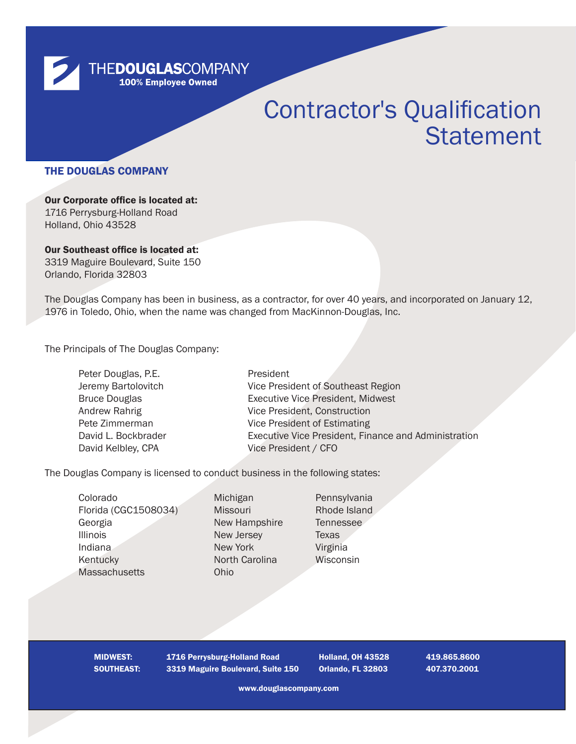

# Contractor's Qualification **Statement**

### THE DOUGLAS COMPANY

Our Corporate office is located at: 1716 Perrysburg-Holland Road Holland, Ohio 43528

Our Southeast office is located at: 3319 Maguire Boulevard, Suite 150 Orlando, Florida 32803

The Douglas Company has been in business, as a contractor, for over 40 years, and incorporated on January 12, 1976 in Toledo, Ohio, when the name was changed from MacKinnon-Douglas, Inc.

The Principals of The Douglas Company:

| President                                            |
|------------------------------------------------------|
| Vice President of Southeast Region                   |
| <b>Executive Vice President, Midwest</b>             |
| Vice President, Construction                         |
| Vice President of Estimating                         |
| Executive Vice President, Finance and Administration |
| Vice President / CFO                                 |
|                                                      |

The Douglas Company is licensed to conduct business in the following states:

Colorado Michigan Pennsylvania Florida (CGC1508034) Missouri Rhode Island Georgia New Hampshire Tennessee **Illinois** New Jersey Texas Indiana New York Virginia Kentucky North Carolina Wisconsin Massachusetts Ohio

MIDWEST: 1716 Perrysburg-Holland Road Holland, OH 43528 419.865.8600 SOUTHEAST: 3319 Maguire Boulevard, Suite 150 Orlando, FL 32803 407.370.2001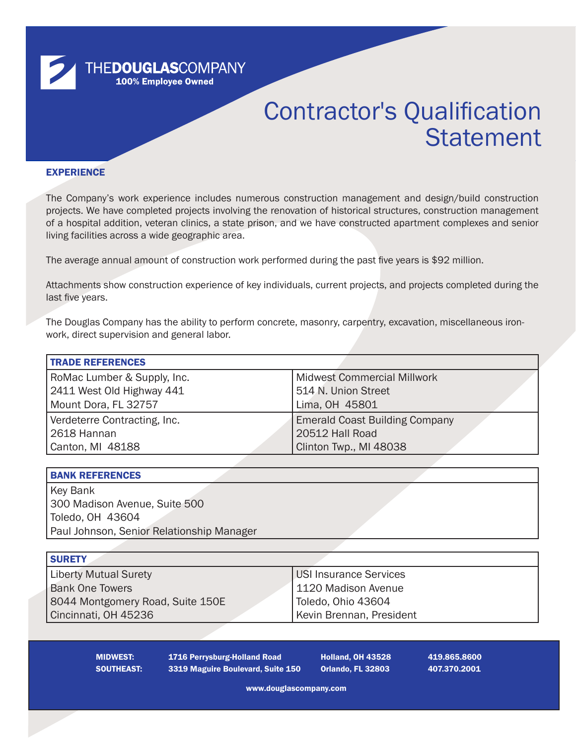

## Contractor's Qualification **Statement**

#### **EXPERIENCE**

The Company's work experience includes numerous construction management and design/build construction projects. We have completed projects involving the renovation of historical structures, construction management of a hospital addition, veteran clinics, a state prison, and we have constructed apartment complexes and senior living facilities across a wide geographic area.

The average annual amount of construction work performed during the past five years is \$92 million.

Attachments show construction experience of key individuals, current projects, and projects completed during the last five years.

The Douglas Company has the ability to perform concrete, masonry, carpentry, excavation, miscellaneous ironwork, direct supervision and general labor.

| <b>TRADE REFERENCES</b>      |                                       |  |  |
|------------------------------|---------------------------------------|--|--|
| RoMac Lumber & Supply, Inc.  | <b>Midwest Commercial Millwork</b>    |  |  |
| 2411 West Old Highway 441    | 514 N. Union Street                   |  |  |
| Mount Dora, FL 32757         | Lima, OH 45801                        |  |  |
| Verdeterre Contracting, Inc. | <b>Emerald Coast Building Company</b> |  |  |
| 2618 Hannan                  | 20512 Hall Road                       |  |  |
| Canton, MI 48188             | Clinton Twp., MI 48038                |  |  |

| <b>BANK REFERENCES</b>                    |  |
|-------------------------------------------|--|
| Key Bank                                  |  |
| 300 Madison Avenue, Suite 500             |  |
| Toledo, OH 43604                          |  |
| Paul Johnson, Senior Relationship Manager |  |

| <b>SURETY</b>                    |                          |
|----------------------------------|--------------------------|
| <b>Liberty Mutual Surety</b>     | USI Insurance Services   |
| <b>Bank One Towers</b>           | 1120 Madison Avenue      |
| 8044 Montgomery Road, Suite 150E | Toledo, Ohio 43604       |
| Cincinnati, OH 45236             | Kevin Brennan, President |

MIDWEST: 1716 Perrysburg-Holland Road Holland, OH 43528 419.865.8600 SOUTHEAST: 3319 Maguire Boulevard, Suite 150 Orlando, FL 32803 407.370.2001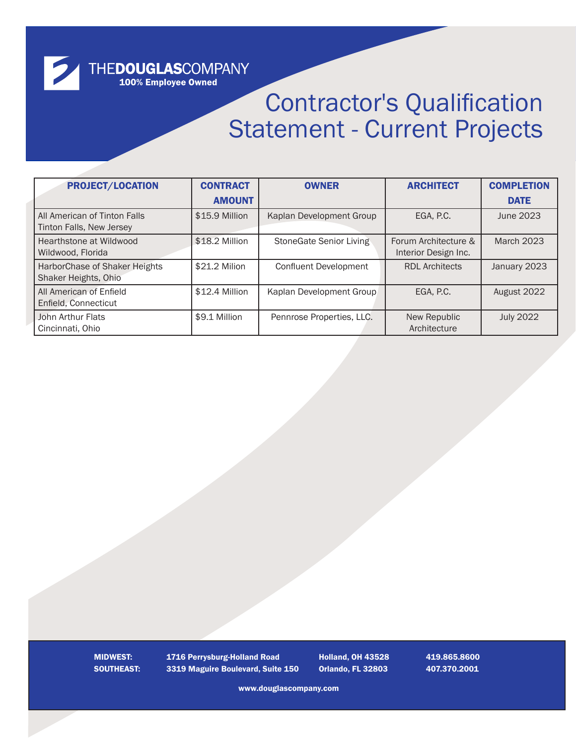# THEDOUGLASCOMPANY<br>100% Employee Owned

2

## Contractor's Qualification Statement - Current Projects

| <b>PROJECT/LOCATION</b>                                  | <b>CONTRACT</b> | <b>OWNER</b>                 | <b>ARCHITECT</b>                             | <b>COMPLETION</b> |
|----------------------------------------------------------|-----------------|------------------------------|----------------------------------------------|-------------------|
|                                                          | <b>AMOUNT</b>   |                              |                                              | <b>DATE</b>       |
| All American of Tinton Falls<br>Tinton Falls, New Jersey | \$15.9 Million  | Kaplan Development Group     | EGA, P.C.                                    | June 2023         |
| Hearthstone at Wildwood<br>Wildwood, Florida             | \$18.2 Million  | StoneGate Senior Living      | Forum Architecture &<br>Interior Design Inc. | <b>March 2023</b> |
| HarborChase of Shaker Heights<br>Shaker Heights, Ohio    | \$21.2 Milion   | <b>Confluent Development</b> | <b>RDL Architects</b>                        | January 2023      |
| All American of Enfield<br>Enfield, Connecticut          | \$12.4 Million  | Kaplan Development Group     | EGA, P.C.                                    | August 2022       |
| John Arthur Flats<br>Cincinnati, Ohio                    | \$9.1 Million   | Pennrose Properties, LLC.    | New Republic<br>Architecture                 | <b>July 2022</b>  |

MIDWEST: 1716 Perrysburg-Holland Road Holland, OH 43528 419.865.8600 SOUTHEAST: 3319 Maguire Boulevard, Suite 150 Orlando, FL 32803 407.370.2001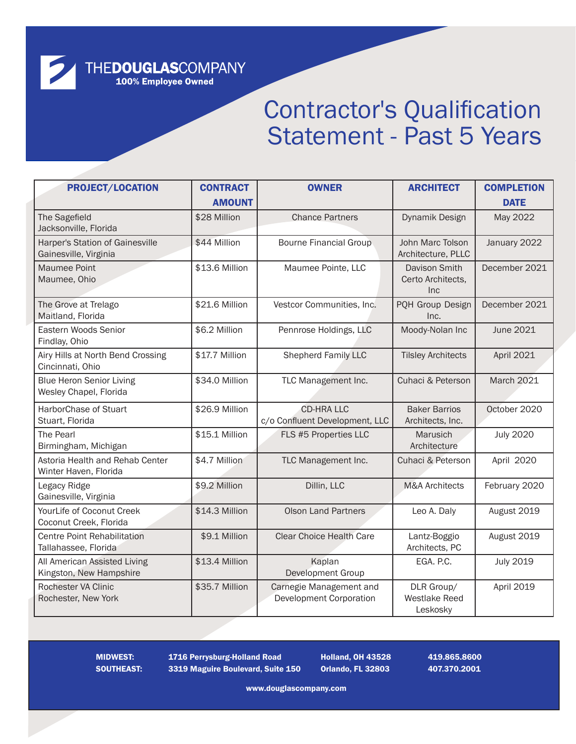THE**DOUGLAS**COMPANY<br>100% Employee Owned

2

## Contractor's Qualification Statement - Past 5 Years

| <b>PROJECT/LOCATION</b>                                    | <b>CONTRACT</b> | <b>OWNER</b>                                              | <b>ARCHITECT</b>                               | <b>COMPLETION</b> |
|------------------------------------------------------------|-----------------|-----------------------------------------------------------|------------------------------------------------|-------------------|
|                                                            | <b>AMOUNT</b>   |                                                           |                                                | <b>DATE</b>       |
| The Sagefield<br>Jacksonville, Florida                     | \$28 Million    | <b>Chance Partners</b>                                    | Dynamik Design                                 | May 2022          |
| Harper's Station of Gainesville<br>Gainesville, Virginia   | \$44 Million    | <b>Bourne Financial Group</b>                             | John Marc Tolson<br>Architecture, PLLC         | January 2022      |
| <b>Maumee Point</b><br>Maumee, Ohio                        | \$13.6 Million  | Maumee Pointe, LLC                                        | Davison Smith<br>Certo Architects,<br>Inc      | December 2021     |
| The Grove at Trelago<br>Maitland, Florida                  | \$21.6 Million  | Vestcor Communities, Inc.                                 | PQH Group Design<br>Inc.                       | December 2021     |
| Eastern Woods Senior<br>Findlay, Ohio                      | \$6.2 Million   | Pennrose Holdings, LLC                                    | Moody-Nolan Inc                                | June 2021         |
| Airy Hills at North Bend Crossing<br>Cincinnati, Ohio      | \$17.7 Million  | <b>Shepherd Family LLC</b>                                | <b>Tilsley Architects</b>                      | April 2021        |
| <b>Blue Heron Senior Living</b><br>Wesley Chapel, Florida  | \$34.0 Million  | TLC Management Inc.                                       | Cuhaci & Peterson                              | March 2021        |
| HarborChase of Stuart<br>Stuart, Florida                   | \$26.9 Million  | <b>CD-HRA LLC</b><br>c/o Confluent Development, LLC       | <b>Baker Barrios</b><br>Architects, Inc.       | October 2020      |
| The Pearl<br>Birmingham, Michigan                          | \$15.1 Million  | FLS #5 Properties LLC                                     | Marusich<br>Architecture                       | <b>July 2020</b>  |
| Astoria Health and Rehab Center<br>Winter Haven, Florida   | \$4.7 Million   | TLC Management Inc.                                       | Cuhaci & Peterson                              | April 2020        |
| Legacy Ridge<br>Gainesville, Virginia                      | \$9.2 Million   | Dillin, LLC                                               | <b>M&amp;A Architects</b>                      | February 2020     |
| YourLife of Coconut Creek<br>Coconut Creek, Florida        | \$14.3 Million  | <b>Olson Land Partners</b>                                | Leo A. Daly                                    | August 2019       |
| <b>Centre Point Rehabilitation</b><br>Tallahassee, Florida | \$9.1 Million   | <b>Clear Choice Health Care</b>                           | Lantz-Boggio<br>Architects, PC                 | August 2019       |
| All American Assisted Living<br>Kingston, New Hampshire    | \$13.4 Million  | Kaplan<br>Development Group                               | EGA. P.C.                                      | <b>July 2019</b>  |
| Rochester VA Clinic<br>Rochester, New York                 | \$35.7 Million  | Carnegie Management and<br><b>Development Corporation</b> | DLR Group/<br><b>Westlake Reed</b><br>Leskosky | April 2019        |

MIDWEST: 1716 Perrysburg-Holland Road Holland, OH 43528 419.865.8600 SOUTHEAST: 3319 Maguire Boulevard, Suite 150 Orlando, FL 32803 407.370.2001